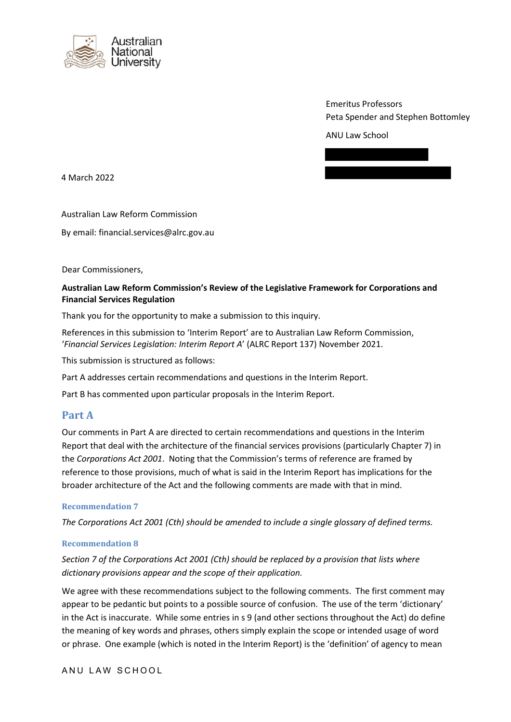

Emeritus Professors Peta Spender and Stephen Bottomley

ANU Law School



4 March 2022

Australian Law Reform Commission

By email: financial.services@alrc.gov.au

Dear Commissioners,

## **Australian Law Reform Commission's Review of the Legislative Framework for Corporations and Financial Services Regulation**

Thank you for the opportunity to make a submission to this inquiry.

References in this submission to 'Interim Report' are to Australian Law Reform Commission, '*Financial Services Legislation: Interim Report A*' (ALRC Report 137) November 2021.

This submission is structured as follows:

Part A addresses certain recommendations and questions in the Interim Report.

Part B has commented upon particular proposals in the Interim Report.

# **Part A**

Our comments in Part A are directed to certain recommendations and questions in the Interim Report that deal with the architecture of the financial services provisions (particularly Chapter 7) in the *Corporations Act 2001*. Noting that the Commission's terms of reference are framed by reference to those provisions, much of what is said in the Interim Report has implications for the broader architecture of the Act and the following comments are made with that in mind.

## **Recommendation 7**

*The Corporations Act 2001 (Cth) should be amended to include a single glossary of defined terms.*

## **Recommendation 8**

*Section 7 of the Corporations Act 2001 (Cth) should be replaced by a provision that lists where dictionary provisions appear and the scope of their application.*

We agree with these recommendations subject to the following comments. The first comment may appear to be pedantic but points to a possible source of confusion. The use of the term 'dictionary' in the Act is inaccurate. While some entries in s 9 (and other sections throughout the Act) do define the meaning of key words and phrases, others simply explain the scope or intended usage of word or phrase. One example (which is noted in the Interim Report) is the 'definition' of agency to mean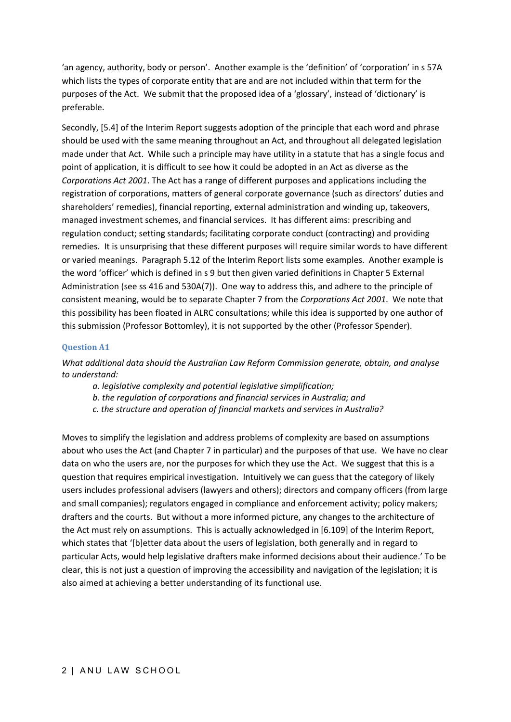'an agency, authority, body or person'. Another example is the 'definition' of 'corporation' in s 57A which lists the types of corporate entity that are and are not included within that term for the purposes of the Act. We submit that the proposed idea of a 'glossary', instead of 'dictionary' is preferable.

Secondly, [5.4] of the Interim Report suggests adoption of the principle that each word and phrase should be used with the same meaning throughout an Act, and throughout all delegated legislation made under that Act. While such a principle may have utility in a statute that has a single focus and point of application, it is difficult to see how it could be adopted in an Act as diverse as the *Corporations Act 2001*. The Act has a range of different purposes and applications including the registration of corporations, matters of general corporate governance (such as directors' duties and shareholders' remedies), financial reporting, external administration and winding up, takeovers, managed investment schemes, and financial services. It has different aims: prescribing and regulation conduct; setting standards; facilitating corporate conduct (contracting) and providing remedies. It is unsurprising that these different purposes will require similar words to have different or varied meanings. Paragraph 5.12 of the Interim Report lists some examples. Another example is the word 'officer' which is defined in s 9 but then given varied definitions in Chapter 5 External Administration (see ss 416 and 530A(7)). One way to address this, and adhere to the principle of consistent meaning, would be to separate Chapter 7 from the *Corporations Act 2001*. We note that this possibility has been floated in ALRC consultations; while this idea is supported by one author of this submission (Professor Bottomley), it is not supported by the other (Professor Spender).

## **Question A1**

*What additional data should the Australian Law Reform Commission generate, obtain, and analyse to understand:*

- *a. legislative complexity and potential legislative simplification;*
- *b. the regulation of corporations and financial services in Australia; and*
- *c. the structure and operation of financial markets and services in Australia?*

Moves to simplify the legislation and address problems of complexity are based on assumptions about who uses the Act (and Chapter 7 in particular) and the purposes of that use. We have no clear data on who the users are, nor the purposes for which they use the Act. We suggest that this is a question that requires empirical investigation. Intuitively we can guess that the category of likely users includes professional advisers (lawyers and others); directors and company officers (from large and small companies); regulators engaged in compliance and enforcement activity; policy makers; drafters and the courts. But without a more informed picture, any changes to the architecture of the Act must rely on assumptions. This is actually acknowledged in [6.109] of the Interim Report, which states that '[b]etter data about the users of legislation, both generally and in regard to particular Acts, would help legislative drafters make informed decisions about their audience.' To be clear, this is not just a question of improving the accessibility and navigation of the legislation; it is also aimed at achieving a better understanding of its functional use.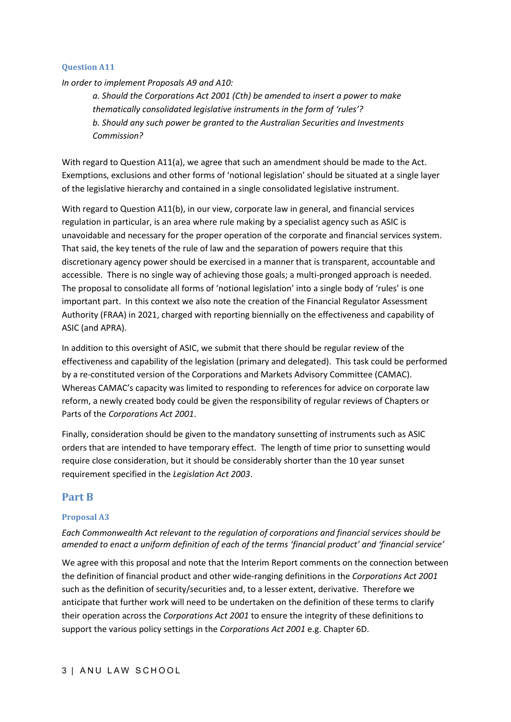## **Question A11**

*In order to implement Proposals A9 and A10:* 

*a. Should the Corporations Act 2001 (Cth) be amended to insert a power to make thematically consolidated legislative instruments in the form of 'rules'? b. Should any such power be granted to the Australian Securities and Investments Commission?*

With regard to Question A11(a), we agree that such an amendment should be made to the Act. Exemptions, exclusions and other forms of 'notional legislation' should be situated at a single layer of the legislative hierarchy and contained in a single consolidated legislative instrument.

With regard to Question A11(b), in our view, corporate law in general, and financial services regulation in particular, is an area where rule making by a specialist agency such as ASIC is unavoidable and necessary for the proper operation of the corporate and financial services system. That said, the key tenets of the rule of law and the separation of powers require that this discretionary agency power should be exercised in a manner that is transparent, accountable and accessible. There is no single way of achieving those goals; a multi-pronged approach is needed. The proposal to consolidate all forms of 'notional legislation' into a single body of 'rules' is one important part. In this context we also note the creation of the Financial Regulator Assessment Authority (FRAA) in 2021, charged with reporting biennially on the effectiveness and capability of ASIC (and APRA).

In addition to this oversight of ASIC, we submit that there should be regular review of the effectiveness and capability of the legislation (primary and delegated). This task could be performed by a re-constituted version of the Corporations and Markets Advisory Committee (CAMAC). Whereas CAMAC's capacity was limited to responding to references for advice on corporate law reform, a newly created body could be given the responsibility of regular reviews of Chapters or Parts of the *Corporations Act 2001*.

Finally, consideration should be given to the mandatory sunsetting of instruments such as ASIC orders that are intended to have temporary effect. The length of time prior to sunsetting would require close consideration, but it should be considerably shorter than the 10 year sunset requirement specified in the *Legislation Act 2003*.

# **Part B**

## **Proposal A3**

*Each Commonwealth Act relevant to the regulation of corporations and financial services should be amended to enact a uniform definition of each of the terms 'financial product' and 'financial service'* 

We agree with this proposal and note that the Interim Report comments on the connection between the definition of financial product and other wide-ranging definitions in the *Corporations Act 2001* such as the definition of security/securities and, to a lesser extent, derivative. Therefore we anticipate that further work will need to be undertaken on the definition of these terms to clarify their operation across the *Corporations Act 2001* to ensure the integrity of these definitions to support the various policy settings in the *Corporations Act 2001* e.g. Chapter 6D.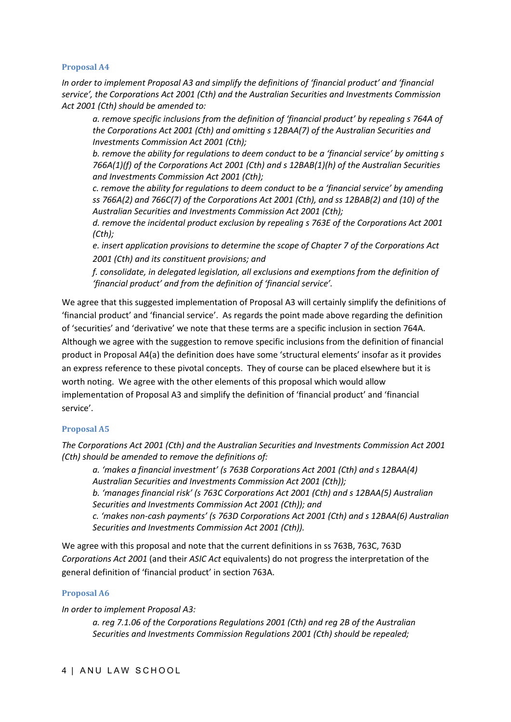## **Proposal A4**

*In order to implement Proposal A3 and simplify the definitions of 'financial product' and 'financial service', the Corporations Act 2001 (Cth) and the Australian Securities and Investments Commission Act 2001 (Cth) should be amended to:* 

*a. remove specific inclusions from the definition of 'financial product' by repealing s 764A of the Corporations Act 2001 (Cth) and omitting s 12BAA(7) of the Australian Securities and Investments Commission Act 2001 (Cth);* 

*b. remove the ability for regulations to deem conduct to be a 'financial service' by omitting s 766A(1)(f) of the Corporations Act 2001 (Cth) and s 12BAB(1)(h) of the Australian Securities and Investments Commission Act 2001 (Cth);* 

*c. remove the ability for regulations to deem conduct to be a 'financial service' by amending ss 766A(2) and 766C(7) of the Corporations Act 2001 (Cth), and ss 12BAB(2) and (10) of the Australian Securities and Investments Commission Act 2001 (Cth);* 

*d. remove the incidental product exclusion by repealing s 763E of the Corporations Act 2001 (Cth);* 

*e. insert application provisions to determine the scope of Chapter 7 of the Corporations Act 2001 (Cth) and its constituent provisions; and* 

*f. consolidate, in delegated legislation, all exclusions and exemptions from the definition of 'financial product' and from the definition of 'financial service'.*

We agree that this suggested implementation of Proposal A3 will certainly simplify the definitions of 'financial product' and 'financial service'. As regards the point made above regarding the definition of 'securities' and 'derivative' we note that these terms are a specific inclusion in section 764A. Although we agree with the suggestion to remove specific inclusions from the definition of financial product in Proposal A4(a) the definition does have some 'structural elements' insofar as it provides an express reference to these pivotal concepts. They of course can be placed elsewhere but it is worth noting. We agree with the other elements of this proposal which would allow implementation of Proposal A3 and simplify the definition of 'financial product' and 'financial service'.

# **Proposal A5**

*The Corporations Act 2001 (Cth) and the Australian Securities and Investments Commission Act 2001 (Cth) should be amended to remove the definitions of:* 

*a. 'makes a financial investment' (s 763B Corporations Act 2001 (Cth) and s 12BAA(4) Australian Securities and Investments Commission Act 2001 (Cth));* 

*b. 'manages financial risk' (s 763C Corporations Act 2001 (Cth) and s 12BAA(5) Australian Securities and Investments Commission Act 2001 (Cth)); and* 

*c. 'makes non-cash payments' (s 763D Corporations Act 2001 (Cth) and s 12BAA(6) Australian Securities and Investments Commission Act 2001 (Cth)).* 

We agree with this proposal and note that the current definitions in ss 763B, 763C, 763D *Corporations Act 2001* (and their *ASIC Act* equivalents) do not progress the interpretation of the general definition of 'financial product' in section 763A.

# **Proposal A6**

*In order to implement Proposal A3:* 

*a. reg 7.1.06 of the Corporations Regulations 2001 (Cth) and reg 2B of the Australian Securities and Investments Commission Regulations 2001 (Cth) should be repealed;*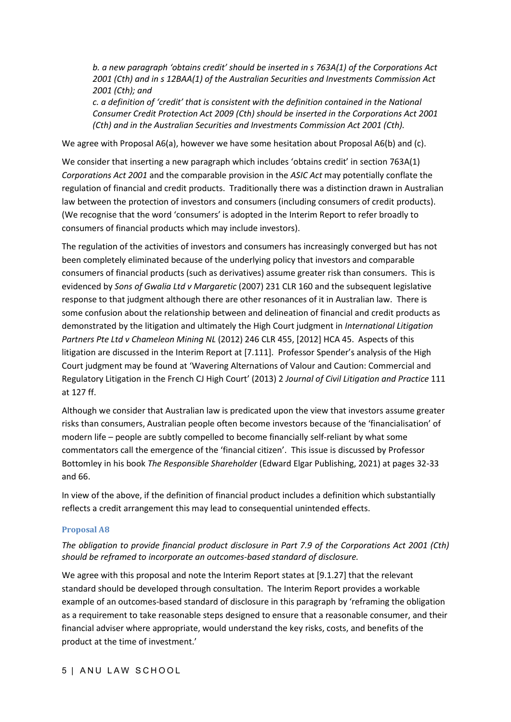*b. a new paragraph 'obtains credit' should be inserted in s 763A(1) of the Corporations Act 2001 (Cth) and in s 12BAA(1) of the Australian Securities and Investments Commission Act 2001 (Cth); and* 

*c. a definition of 'credit' that is consistent with the definition contained in the National Consumer Credit Protection Act 2009 (Cth) should be inserted in the Corporations Act 2001 (Cth) and in the Australian Securities and Investments Commission Act 2001 (Cth).*

We agree with Proposal A6(a), however we have some hesitation about Proposal A6(b) and (c).

We consider that inserting a new paragraph which includes 'obtains credit' in section 763A(1) *Corporations Act 2001* and the comparable provision in the *ASIC Act* may potentially conflate the regulation of financial and credit products. Traditionally there was a distinction drawn in Australian law between the protection of investors and consumers (including consumers of credit products). (We recognise that the word 'consumers' is adopted in the Interim Report to refer broadly to consumers of financial products which may include investors).

The regulation of the activities of investors and consumers has increasingly converged but has not been completely eliminated because of the underlying policy that investors and comparable consumers of financial products (such as derivatives) assume greater risk than consumers. This is evidenced by *Sons of Gwalia Ltd v Margaretic* (2007) 231 CLR 160 and the subsequent legislative response to that judgment although there are other resonances of it in Australian law. There is some confusion about the relationship between and delineation of financial and credit products as demonstrated by the litigation and ultimately the High Court judgment in *International Litigation Partners Pte Ltd v Chameleon Mining NL* (2012) 246 CLR 455, [2012] HCA 45. Aspects of this litigation are discussed in the Interim Report at [7.111]. Professor Spender's analysis of the High Court judgment may be found at 'Wavering Alternations of Valour and Caution: Commercial and Regulatory Litigation in the French CJ High Court' (2013) 2 *Journal of Civil Litigation and Practice* 111 at 127 ff.

Although we consider that Australian law is predicated upon the view that investors assume greater risks than consumers, Australian people often become investors because of the 'financialisation' of modern life – people are subtly compelled to become financially self-reliant by what some commentators call the emergence of the 'financial citizen'. This issue is discussed by Professor Bottomley in his book *The Responsible Shareholder* (Edward Elgar Publishing, 2021) at pages 32-33 and 66.

In view of the above, if the definition of financial product includes a definition which substantially reflects a credit arrangement this may lead to consequential unintended effects.

## **Proposal A8**

# *The obligation to provide financial product disclosure in Part 7.9 of the Corporations Act 2001 (Cth) should be reframed to incorporate an outcomes-based standard of disclosure.*

We agree with this proposal and note the Interim Report states at [9.1.27] that the relevant standard should be developed through consultation. The Interim Report provides a workable example of an outcomes-based standard of disclosure in this paragraph by 'reframing the obligation as a requirement to take reasonable steps designed to ensure that a reasonable consumer, and their financial adviser where appropriate, would understand the key risks, costs, and benefits of the product at the time of investment.'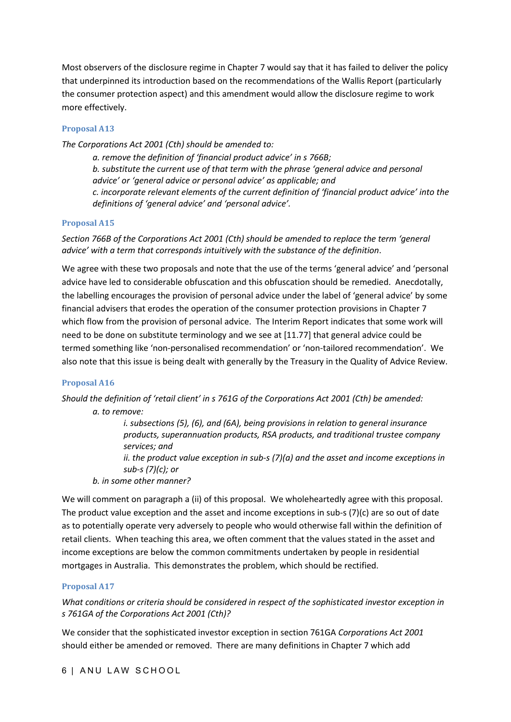Most observers of the disclosure regime in Chapter 7 would say that it has failed to deliver the policy that underpinned its introduction based on the recommendations of the Wallis Report (particularly the consumer protection aspect) and this amendment would allow the disclosure regime to work more effectively.

## **Proposal A13**

*The Corporations Act 2001 (Cth) should be amended to:* 

*a. remove the definition of 'financial product advice' in s 766B; b. substitute the current use of that term with the phrase 'general advice and personal advice' or 'general advice or personal advice' as applicable; and c. incorporate relevant elements of the current definition of 'financial product advice' into the definitions of 'general advice' and 'personal advice'.* 

## **Proposal A15**

*Section 766B of the Corporations Act 2001 (Cth) should be amended to replace the term 'general advice' with a term that corresponds intuitively with the substance of the definition*.

We agree with these two proposals and note that the use of the terms 'general advice' and 'personal advice have led to considerable obfuscation and this obfuscation should be remedied. Anecdotally, the labelling encourages the provision of personal advice under the label of 'general advice' by some financial advisers that erodes the operation of the consumer protection provisions in Chapter 7 which flow from the provision of personal advice. The Interim Report indicates that some work will need to be done on substitute terminology and we see at [11.77] that general advice could be termed something like 'non-personalised recommendation' or 'non-tailored recommendation'. We also note that this issue is being dealt with generally by the Treasury in the Quality of Advice Review.

## **Proposal A16**

*Should the definition of 'retail client' in s 761G of the Corporations Act 2001 (Cth) be amended: a. to remove:*

> *i. subsections (5), (6), and (6A), being provisions in relation to general insurance products, superannuation products, RSA products, and traditional trustee company services; and ii. the product value exception in sub-s (7)(a) and the asset and income exceptions in*

*sub-s (7)(c); or* 

*b. in some other manner?* 

We will comment on paragraph a (ii) of this proposal. We wholeheartedly agree with this proposal. The product value exception and the asset and income exceptions in sub-s (7)(c) are so out of date as to potentially operate very adversely to people who would otherwise fall within the definition of retail clients. When teaching this area, we often comment that the values stated in the asset and income exceptions are below the common commitments undertaken by people in residential mortgages in Australia. This demonstrates the problem, which should be rectified.

## **Proposal A17**

*What conditions or criteria should be considered in respect of the sophisticated investor exception in s 761GA of the Corporations Act 2001 (Cth)?*

We consider that the sophisticated investor exception in section 761GA *Corporations Act 2001* should either be amended or removed. There are many definitions in Chapter 7 which add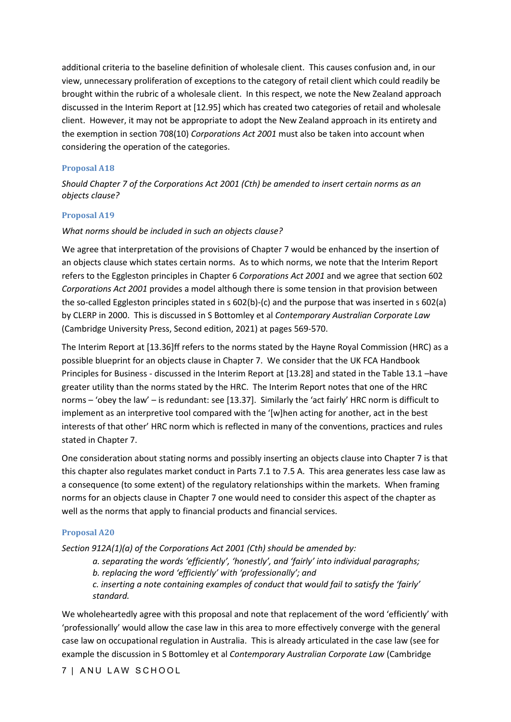additional criteria to the baseline definition of wholesale client. This causes confusion and, in our view, unnecessary proliferation of exceptions to the category of retail client which could readily be brought within the rubric of a wholesale client. In this respect, we note the New Zealand approach discussed in the Interim Report at [12.95] which has created two categories of retail and wholesale client. However, it may not be appropriate to adopt the New Zealand approach in its entirety and the exemption in section 708(10) *Corporations Act 2001* must also be taken into account when considering the operation of the categories.

#### **Proposal A18**

*Should Chapter 7 of the Corporations Act 2001 (Cth) be amended to insert certain norms as an objects clause?* 

#### **Proposal A19**

#### *What norms should be included in such an objects clause?*

We agree that interpretation of the provisions of Chapter 7 would be enhanced by the insertion of an objects clause which states certain norms. As to which norms, we note that the Interim Report refers to the Eggleston principles in Chapter 6 *Corporations Act 2001* and we agree that section 602 *Corporations Act 2001* provides a model although there is some tension in that provision between the so-called Eggleston principles stated in s 602(b)-(c) and the purpose that was inserted in s 602(a) by CLERP in 2000. This is discussed in S Bottomley et al *Contemporary Australian Corporate Law* (Cambridge University Press, Second edition, 2021) at pages 569-570.

The Interim Report at [13.36]ff refers to the norms stated by the Hayne Royal Commission (HRC) as a possible blueprint for an objects clause in Chapter 7. We consider that the UK FCA Handbook Principles for Business - discussed in the Interim Report at [13.28] and stated in the Table 13.1 –have greater utility than the norms stated by the HRC. The Interim Report notes that one of the HRC norms – 'obey the law' – is redundant: see [13.37]. Similarly the 'act fairly' HRC norm is difficult to implement as an interpretive tool compared with the '[w]hen acting for another, act in the best interests of that other' HRC norm which is reflected in many of the conventions, practices and rules stated in Chapter 7.

One consideration about stating norms and possibly inserting an objects clause into Chapter 7 is that this chapter also regulates market conduct in Parts 7.1 to 7.5 A. This area generates less case law as a consequence (to some extent) of the regulatory relationships within the markets. When framing norms for an objects clause in Chapter 7 one would need to consider this aspect of the chapter as well as the norms that apply to financial products and financial services.

#### **Proposal A20**

*Section 912A(1)(a) of the Corporations Act 2001 (Cth) should be amended by:* 

*a. separating the words 'efficiently', 'honestly', and 'fairly' into individual paragraphs; b. replacing the word 'efficiently' with 'professionally'; and c. inserting a note containing examples of conduct that would fail to satisfy the 'fairly' standard.* 

We wholeheartedly agree with this proposal and note that replacement of the word 'efficiently' with 'professionally' would allow the case law in this area to more effectively converge with the general case law on occupational regulation in Australia. This is already articulated in the case law (see for example the discussion in S Bottomley et al *Contemporary Australian Corporate Law* (Cambridge